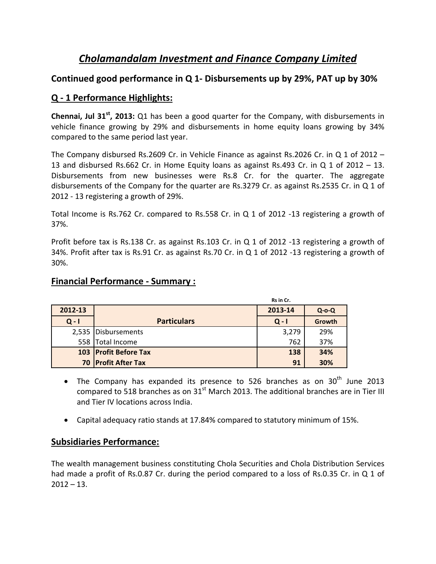# *Cholamandalam Investment and Finance Company Limited*

## **Continued good performance in Q 1‐ Disbursements up by 29%, PAT up by 30%**

# **Q ‐ 1 Performance Highlights:**

**Chennai, Jul 31st, 2013:** Q1 has been a good quarter for the Company, with disbursements in vehicle finance growing by 29% and disbursements in home equity loans growing by 34% compared to the same period last year.

The Company disbursed Rs.2609 Cr. in Vehicle Finance as against Rs.2026 Cr. in Q 1 of 2012 – 13 and disbursed Rs.662 Cr. in Home Equity loans as against Rs.493 Cr. in Q 1 of 2012 – 13. Disbursements from new businesses were Rs.8 Cr. for the quarter. The aggregate disbursements of the Company for the quarter are Rs.3279 Cr. as against Rs.2535 Cr. in Q 1 of 2012 ‐ 13 registering a growth of 29%.

Total Income is Rs.762 Cr. compared to Rs.558 Cr. in Q 1 of 2012 ‐13 registering a growth of 37%.

Profit before tax is Rs.138 Cr. as against Rs.103 Cr. in Q 1 of 2012 -13 registering a growth of 34%. Profit after tax is Rs.91 Cr. as against Rs.70 Cr. in Q 1 of 2012 ‐13 registering a growth of 30%.

|         |                       | Rs in Cr. |             |
|---------|-----------------------|-----------|-------------|
| 2012-13 |                       | 2013-14   | $Q$ -o- $Q$ |
| $Q - I$ | <b>Particulars</b>    | $Q - I$   | Growth      |
|         | 2,535 Disbursements   | 3,279     | 29%         |
|         | 558 Total Income      | 762       | 37%         |
|         | 103 Profit Before Tax | 138       | 34%         |
|         | 70 Profit After Tax   | 91        | 30%         |

#### **Financial Performance ‐ Summary :**

- The Company has expanded its presence to 526 branches as on  $30<sup>th</sup>$  June 2013 compared to 518 branches as on  $31<sup>st</sup>$  March 2013. The additional branches are in Tier III and Tier IV locations across India.
- Capital adequacy ratio stands at 17.84% compared to statutory minimum of 15%.

### **Subsidiaries Performance:**

The wealth management business constituting Chola Securities and Chola Distribution Services had made a profit of Rs.0.87 Cr. during the period compared to a loss of Rs.0.35 Cr. in Q 1 of  $2012 - 13$ .